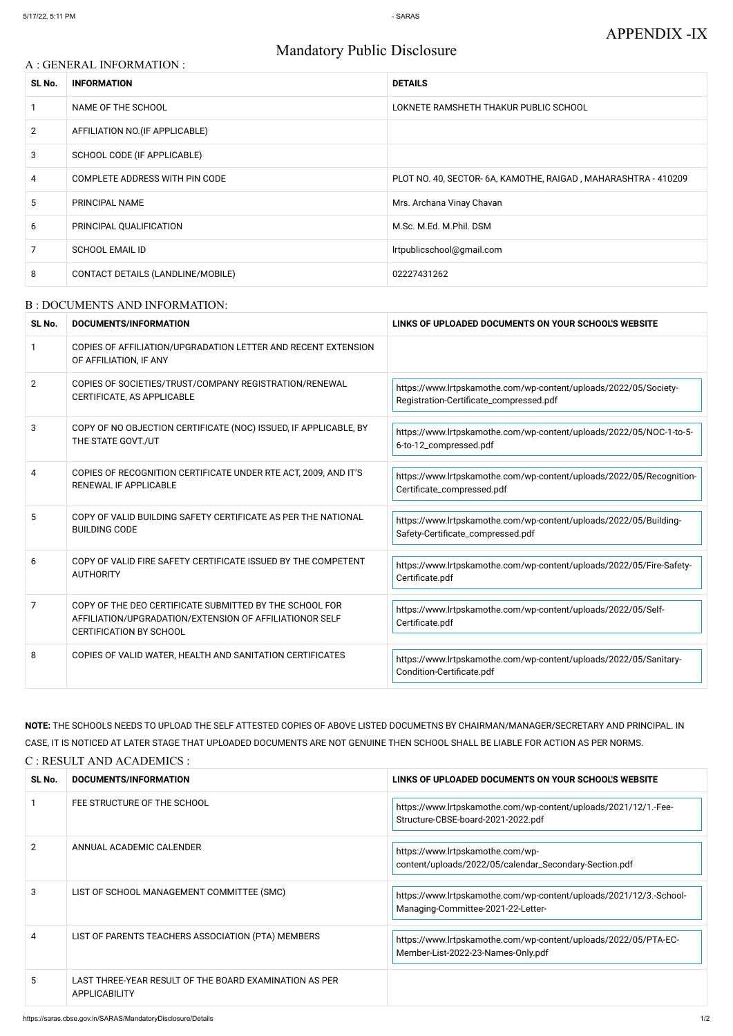## APPENDIX -IX

# Mandatory Public Disclosure

#### A : GENERAL INFORMATION :

| SL No.         | <b>INFORMATION</b>                | <b>DETAILS</b>                                                 |
|----------------|-----------------------------------|----------------------------------------------------------------|
|                | NAME OF THE SCHOOL                | LOKNETE RAMSHETH THAKUR PUBLIC SCHOOL                          |
| $\overline{2}$ | AFFILIATION NO. (IF APPLICABLE)   |                                                                |
| 3              | SCHOOL CODE (IF APPLICABLE)       |                                                                |
| 4              | COMPLETE ADDRESS WITH PIN CODE    | PLOT NO. 40, SECTOR- 6A, KAMOTHE, RAIGAD, MAHARASHTRA - 410209 |
| 5              | PRINCIPAL NAME                    | Mrs. Archana Vinay Chavan                                      |
| 6              | PRINCIPAL QUALIFICATION           | M.Sc. M.Ed. M.Phil. DSM                                        |
|                | <b>SCHOOL EMAIL ID</b>            | Irtpublicschool@gmail.com                                      |
| 8              | CONTACT DETAILS (LANDLINE/MOBILE) | 02227431262                                                    |

#### B : DOCUMENTS AND INFORMATION:

| SL No.         | DOCUMENTS/INFORMATION                                                                                                                                | LINKS OF UPLOADED DOCUMENTS ON YOUR SCHOOL'S WEBSITE                                                        |  |
|----------------|------------------------------------------------------------------------------------------------------------------------------------------------------|-------------------------------------------------------------------------------------------------------------|--|
|                | COPIES OF AFFILIATION/UPGRADATION LETTER AND RECENT EXTENSION<br>OF AFFILIATION, IF ANY                                                              |                                                                                                             |  |
| $\overline{2}$ | COPIES OF SOCIETIES/TRUST/COMPANY REGISTRATION/RENEWAL<br>CERTIFICATE, AS APPLICABLE                                                                 | https://www.lrtpskamothe.com/wp-content/uploads/2022/05/Society-<br>Registration-Certificate_compressed.pdf |  |
| 3              | COPY OF NO OBJECTION CERTIFICATE (NOC) ISSUED, IF APPLICABLE, BY<br>THE STATE GOVT./UT                                                               | https://www.lrtpskamothe.com/wp-content/uploads/2022/05/NOC-1-to-5-<br>6-to-12_compressed.pdf               |  |
| 4              | COPIES OF RECOGNITION CERTIFICATE UNDER RTE ACT, 2009, AND IT'S<br><b>RENEWAL IF APPLICABLE</b>                                                      | https://www.lrtpskamothe.com/wp-content/uploads/2022/05/Recognition-<br>Certificate_compressed.pdf          |  |
| 5              | COPY OF VALID BUILDING SAFETY CERTIFICATE AS PER THE NATIONAL<br><b>BUILDING CODE</b>                                                                | https://www.lrtpskamothe.com/wp-content/uploads/2022/05/Building-<br>Safety-Certificate_compressed.pdf      |  |
| 6              | COPY OF VALID FIRE SAFETY CERTIFICATE ISSUED BY THE COMPETENT<br><b>AUTHORITY</b>                                                                    | https://www.lrtpskamothe.com/wp-content/uploads/2022/05/Fire-Safety-<br>Certificate.pdf                     |  |
| 7              | COPY OF THE DEO CERTIFICATE SUBMITTED BY THE SCHOOL FOR<br>AFFILIATION/UPGRADATION/EXTENSION OF AFFILIATIONOR SELF<br><b>CERTIFICATION BY SCHOOL</b> | https://www.lrtpskamothe.com/wp-content/uploads/2022/05/Self-<br>Certificate.pdf                            |  |
| 8              | COPIES OF VALID WATER, HEALTH AND SANITATION CERTIFICATES                                                                                            | https://www.lrtpskamothe.com/wp-content/uploads/2022/05/Sanitary-<br>Condition-Certificate.pdf              |  |

| ישו הח | <b>PUUUNEN I U/INI UNIVIATIUN</b>                                       | LINNO OF OF LOADLD DOGOMENTO ON TOON OOHOOLO MEDOFFE                                                     |
|--------|-------------------------------------------------------------------------|----------------------------------------------------------------------------------------------------------|
|        | FEE STRUCTURE OF THE SCHOOL                                             | https://www.lrtpskamothe.com/wp-content/uploads/2021/12/1.-Fee-<br>Structure-CBSE-board-2021-2022.pdf    |
| 2      | ANNUAL ACADEMIC CALENDER                                                | https://www.lrtpskamothe.com/wp-<br>content/uploads/2022/05/calendar_Secondary-Section.pdf               |
| 3      | LIST OF SCHOOL MANAGEMENT COMMITTEE (SMC)                               | https://www.lrtpskamothe.com/wp-content/uploads/2021/12/3.-School-<br>Managing-Committee-2021-22-Letter- |
| 4      | LIST OF PARENTS TEACHERS ASSOCIATION (PTA) MEMBERS                      | https://www.lrtpskamothe.com/wp-content/uploads/2022/05/PTA-EC-<br>Member-List-2022-23-Names-Only.pdf    |
| 5.     | LAST THREE-YEAR RESULT OF THE BOARD EXAMINATION AS PER<br>APPLICABILITY |                                                                                                          |

**NOTE:** THE SCHOOLS NEEDS TO UPLOAD THE SELF ATTESTED COPIES OF ABOVE LISTED DOCUMETNS BY CHAIRMAN/MANAGER/SECRETARY AND PRINCIPAL. IN CASE, IT IS NOTICED AT LATER STAGE THAT UPLOADED DOCUMENTS ARE NOT GENUINE THEN SCHOOL SHALL BE LIABLE FOR ACTION AS PER NORMS. C : RESULT AND ACADEMICS :

**SL No. DOCUMENTS/INFORMATION LINKS OF UPLOADED DOCUMENTS ON YOUR SCHOOL'S WEBSITE**